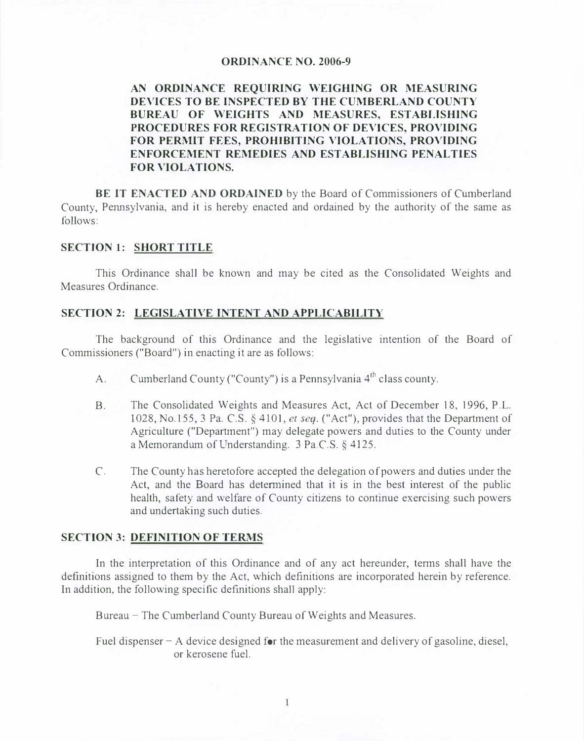#### **ORDINANCE NO. 2006-9**

# **AN ORDINANCE REQUIRING WEIGHING OR MEASURING DEVICES TO BE INSPECTED BY THE CUMBERLAND COUNTY BUREAU OF WEIGHTS AND MEASURES, ESTABLISHING PROCEDURES FOR REGISTRATION OF DEVICES, PROVIDING FOR PERMIT FEES, PROHIBITING VIOLATIONS, PROVIDING ENFORCEMENT REMEDIES AND ESTABLISHING PENALTIES FOR VIOLATIONS.**

**BE IT ENACTED AND ORDAINED** by the Board of Commissioners of Cwnberland County, Pennsylvania, and it is hereby enacted and ordained by the authority of the same as follows:

#### **SECTION 1: SHORT TITLE**

This Ordinance shall be known and may be cited as the Consolidated Weights and Measures Ordinance.

#### **SECTION 2: LEGISLATIVE INTENT AND APPLICABILITY**

The background of this Ordinance and the legislative intention of the Board of Commissioners ("Board") in enacting it are as follows:

- A. Cumberland County ("County") is a Pennsylvania 4<sup>th</sup> class county.
- B. The Consolidated Weights and Measures Act, Act of December 18, 1996, P.L. 1028, No.155, 3 Pa. C.S. § 4101, *et seq.* ("Act"), provides that the Department of Agriculture ("Department") may delegate powers and duties to the County under a Memorandum of Understanding. 3 Pa.C.S. § 4125.
- C. The County has heretofore accepted the delegation of powers and duties under the Act, and the Board has determined that it is in the best interest of the public health, safety and welfare of County citizens to continue exercising such powers and undertaking such duties.

#### **SECTION 3: DEFINITION OF TERMS**

In the interpretation of this Ordinance and of any act hereunder, terms shall have the definitions assigned to them by the Act, which definitions are incorporated herein by reference. In addition, the following specific definitions shall apply:

Bureau - The Cumberland County Bureau of Weights and Measures.

Fuel dispenser  $-A$  device designed for the measurement and delivery of gasoline, diesel, or kerosene fuel.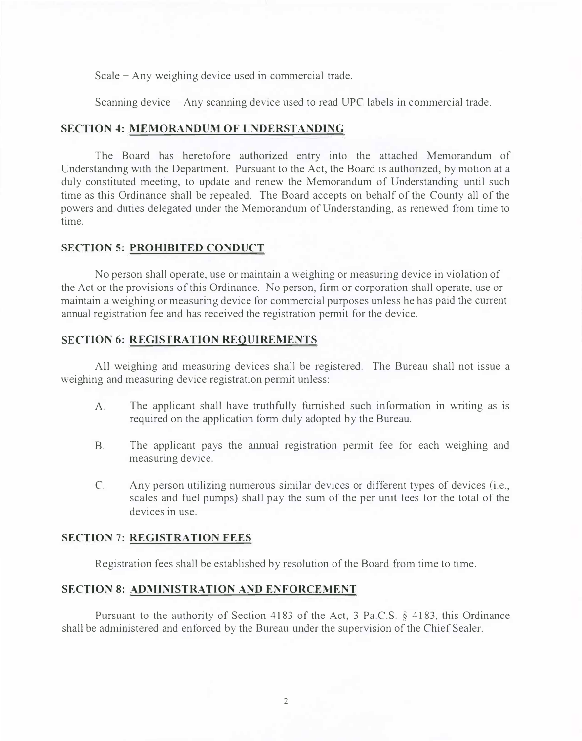Scale  $-$  Any weighing device used in commercial trade.

Scanning device - Any scanning device used to read UPC labels in commercial trade.

#### **SECTION 4: MEMORANDUM OF UNDERSTANDING**

The Board has heretofore authorized entry into the attached Memorandum of Understanding with the Department. Pursuant to the Act, the Board is authorized, by motion at a duly constituted meeting, to update and renew the Memorandum of Understanding until such time as this Ordinance shall be repealed. The Board accepts on behalf of the County all of the powers and duties delegated under the Memorandum of Understanding, as renewed from time to time.

#### **SECTION 5: PROHIBITED CONDUCT**

No person shall operate, use or maintain a weighing or measuring device in violation of the Act or the provisions of this Ordinance. No person, firm or corporation shall operate, use or maintain a weighing or measuring device for commercial purposes unless he has paid the current annual registration fee and has received the registration permit for the device.

### **SECTION 6: REGISTRATION REQUIREMENTS**

All weighing and measuring devices sha11 be registered. The Bureau shall not issue a weighing and measuring device registration pennit unless:

- A. The applicant shall have truthfully furnished such information in writing as is required on the application form duly adopted by the Bureau.
- B. The applicant pays the amma1 registration permit fee for each weighing and measuring device.
- C. Any person utilizing numerous similar devices or different types of devices (i.e., scales and fuel pumps) shall pay the sum of the per unit fees for the total of the devices in use.

#### **SECTION 7: REGISTRATION FEES**

Registration fees shall be established by resolution of the Board f<sup>r</sup> om time to time.

## **SECTION 8: ADMINISTRATION AND ENFORCEMENT**

Pursuant to the authority of Section 4183 of the Act, 3 Pa.C.S. § 4183, this Ordinance shall be administered and enforced by the Bureau under the supervision of the Chief Sealer.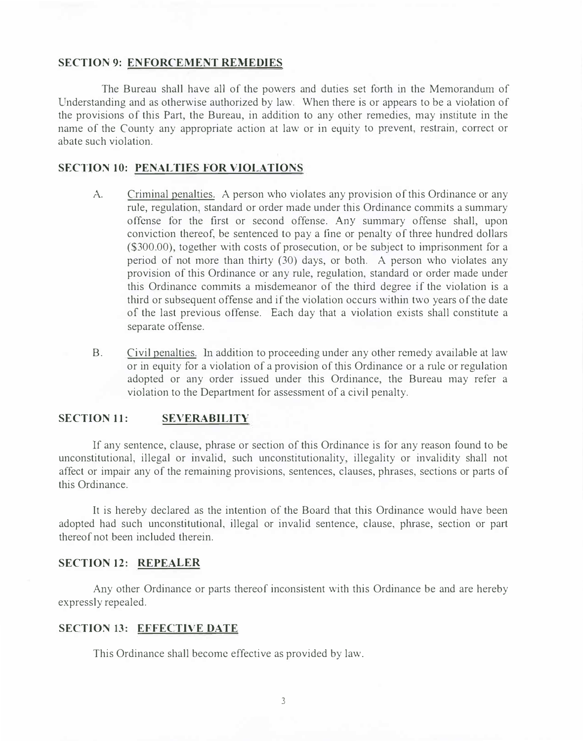#### **SECTION 9: ENFORCEMENT REMEDIES**

The Bureau shall have all of the powers and duties set forth in the Memorandum of Understanding and as otherwise authorized by law. When there is or appears to be a violation of the provisions of this Part, the Bureau, in addition to any other remedies, may institute in the name of the County any appropriate action at law or in equity to prevent, restrain, correct or abate such violation.

#### **SECTION 10: PENALTIES FOR VIOLATIONS**

- Criminal penalties. A person who violates any provision of this Ordinance or any rule, regulation, standard or order made under this Ordinance commits a summary offense for the first or second offense. **Any** summary offense shall, upon conviction thereof, be sentenced to pay a fine or penalty of three hundred dollars (\$300.00), together with costs of prosecution, or be subject to imprisonment for a period of not more than thirty (30) days, or both. A person who violates any provision of this Ordinance or any rule, regulation, standard or order made under this Ordinance commits a misdemeanor of the third degree if the violation is a third or subsequent offense and if the violation occurs within two years of the date of the last previous offense. Each day that a violation exists shall constitute a separate offense. A.
- Civil penalties. In addition to proceeding under any other remedy available at law or in equity for a violation of a provision of this Ordinance or a rnle or regulation adopted or any order issued under this Ordinance, the Bureau may refer a violation to the Department for assessment of a civil penalty. B.

#### **SECTION 11: SEVERABILITY**

If any sentence, clause, phrase or section of this Ordinance is for any reason found to be unconstitutional, illegal or invalid, such unconstitutionality, illegality or invalidity shall not affect or impair any of the remaining provisions, sentences, clauses, phrases, sections or parts of this Ordinance.

It is hereby declared as the intention of the Board that this Ordinance would have been adopted had such unconstitutional, illegal or invalid sentence, clause, phrase, section or part thereof not been included therein.

### **SECTION 12: REPEALER**

Any other Ordinance or parts thereof inconsistent with this Ordinance be and are hereby expressly repealed.

#### **SECTION 13: EFFECTIVE DATE**

This Ordinance shall become effective as provided by law.